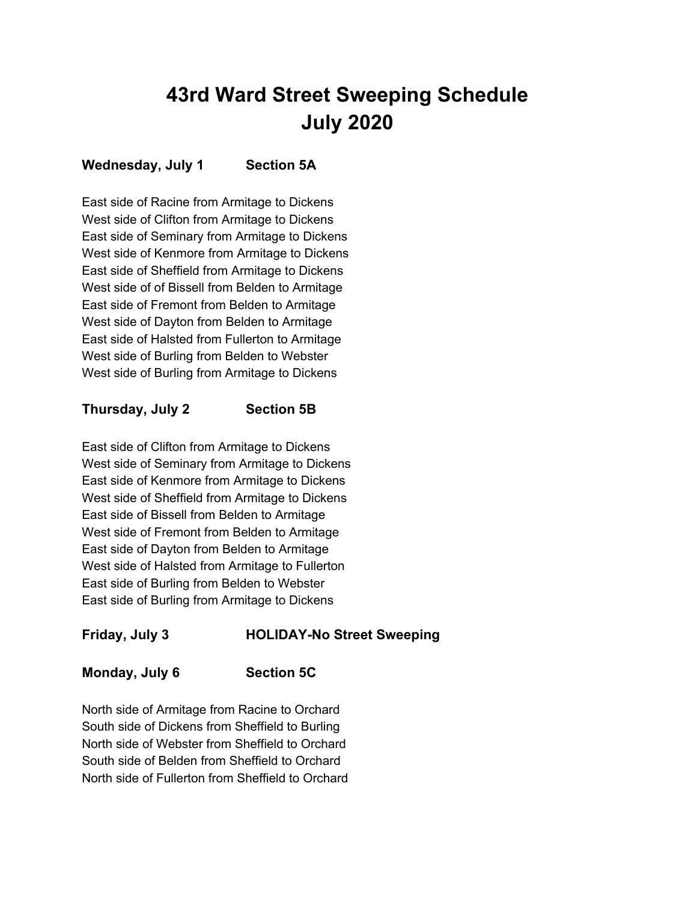# **43rd Ward Street Sweeping Schedule July 2020**

#### **Wednesday, July 1 Section 5A**

East side of Racine from Armitage to Dickens West side of Clifton from Armitage to Dickens East side of Seminary from Armitage to Dickens West side of Kenmore from Armitage to Dickens East side of Sheffield from Armitage to Dickens West side of of Bissell from Belden to Armitage East side of Fremont from Belden to Armitage West side of Dayton from Belden to Armitage East side of Halsted from Fullerton to Armitage West side of Burling from Belden to Webster West side of Burling from Armitage to Dickens

#### **Thursday, July 2 Section 5B**

East side of Clifton from Armitage to Dickens West side of Seminary from Armitage to Dickens East side of Kenmore from Armitage to Dickens West side of Sheffield from Armitage to Dickens East side of Bissell from Belden to Armitage West side of Fremont from Belden to Armitage East side of Dayton from Belden to Armitage West side of Halsted from Armitage to Fullerton East side of Burling from Belden to Webster East side of Burling from Armitage to Dickens

## **Friday, July 3 HOLIDAY-No Street Sweeping**

#### **Monday, July 6 Section 5C**

North side of Armitage from Racine to Orchard South side of Dickens from Sheffield to Burling North side of Webster from Sheffield to Orchard South side of Belden from Sheffield to Orchard North side of Fullerton from Sheffield to Orchard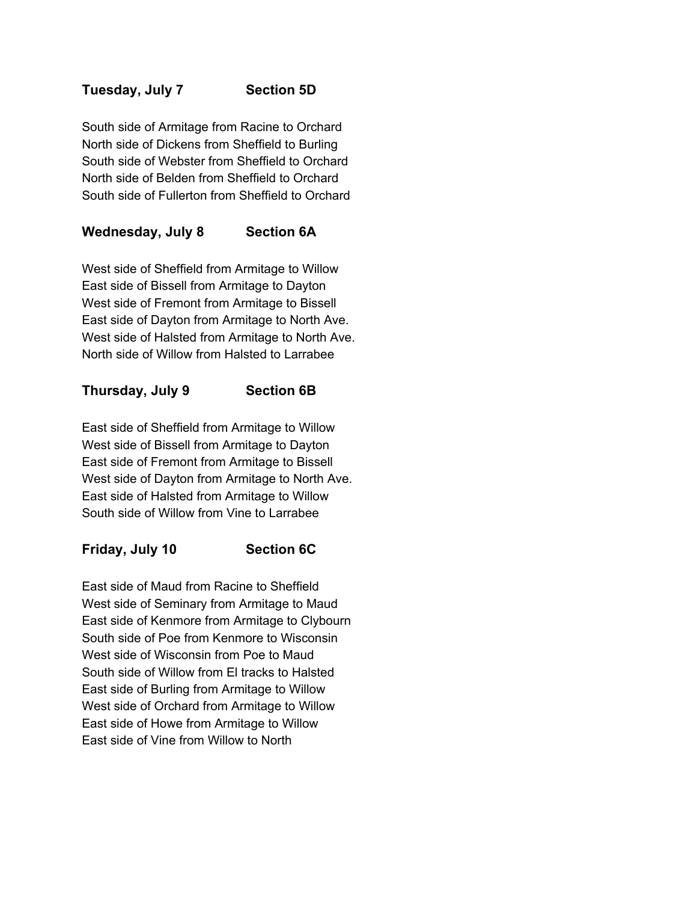#### **Tuesday, July 7 Section 5D**

South side of Armitage from Racine to Orchard North side of Dickens from Sheffield to Burling South side of Webster from Sheffield to Orchard North side of Belden from Sheffield to Orchard South side of Fullerton from Sheffield to Orchard

### **Wednesday, July 8 Section 6A**

West side of Sheffield from Armitage to Willow East side of Bissell from Armitage to Dayton West side of Fremont from Armitage to Bissell East side of Dayton from Armitage to North Ave. West side of Halsted from Armitage to North Ave. North side of Willow from Halsted to Larrabee

#### **Thursday, July 9 Section 6B**

East side of Sheffield from Armitage to Willow West side of Bissell from Armitage to Dayton East side of Fremont from Armitage to Bissell West side of Dayton from Armitage to North Ave. East side of Halsted from Armitage to Willow South side of Willow from Vine to Larrabee

#### **Friday, July 10 Section 6C**

East side of Maud from Racine to Sheffield West side of Seminary from Armitage to Maud East side of Kenmore from Armitage to Clybourn South side of Poe from Kenmore to Wisconsin West side of Wisconsin from Poe to Maud South side of Willow from El tracks to Halsted East side of Burling from Armitage to Willow West side of Orchard from Armitage to Willow East side of Howe from Armitage to Willow East side of Vine from Willow to North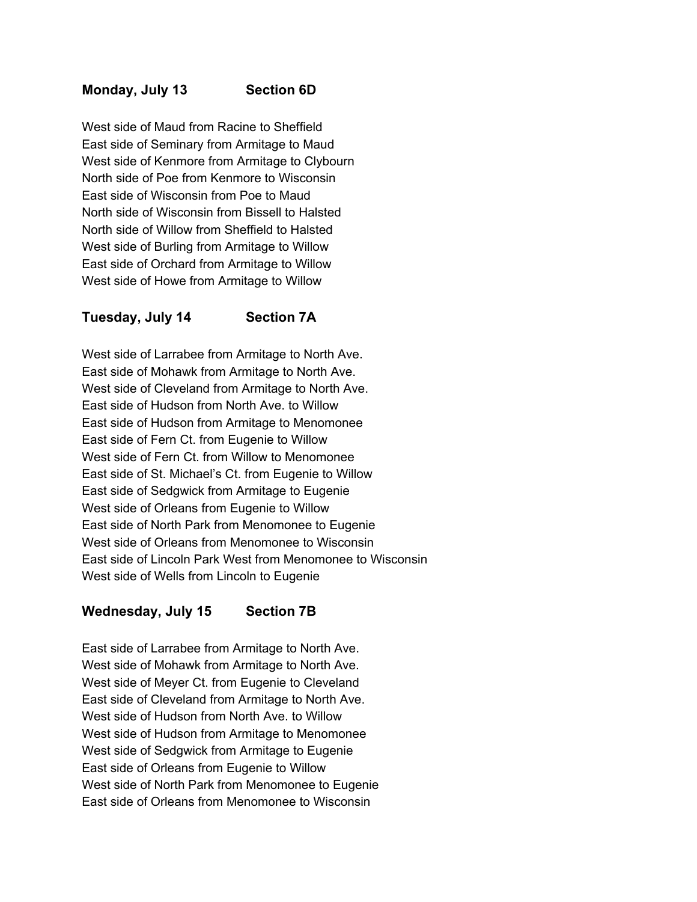#### **Monday, July 13 Section 6D**

West side of Maud from Racine to Sheffield East side of Seminary from Armitage to Maud West side of Kenmore from Armitage to Clybourn North side of Poe from Kenmore to Wisconsin East side of Wisconsin from Poe to Maud North side of Wisconsin from Bissell to Halsted North side of Willow from Sheffield to Halsted West side of Burling from Armitage to Willow East side of Orchard from Armitage to Willow West side of Howe from Armitage to Willow

#### **Tuesday, July 14 Section 7A**

West side of Larrabee from Armitage to North Ave. East side of Mohawk from Armitage to North Ave. West side of Cleveland from Armitage to North Ave. East side of Hudson from North Ave. to Willow East side of Hudson from Armitage to Menomonee East side of Fern Ct. from Eugenie to Willow West side of Fern Ct. from Willow to Menomonee East side of St. Michael's Ct. from Eugenie to Willow East side of Sedgwick from Armitage to Eugenie West side of Orleans from Eugenie to Willow East side of North Park from Menomonee to Eugenie West side of Orleans from Menomonee to Wisconsin East side of Lincoln Park West from Menomonee to Wisconsin West side of Wells from Lincoln to Eugenie

#### **Wednesday, July 15 Section 7B**

East side of Larrabee from Armitage to North Ave. West side of Mohawk from Armitage to North Ave. West side of Meyer Ct. from Eugenie to Cleveland East side of Cleveland from Armitage to North Ave. West side of Hudson from North Ave. to Willow West side of Hudson from Armitage to Menomonee West side of Sedgwick from Armitage to Eugenie East side of Orleans from Eugenie to Willow West side of North Park from Menomonee to Eugenie East side of Orleans from Menomonee to Wisconsin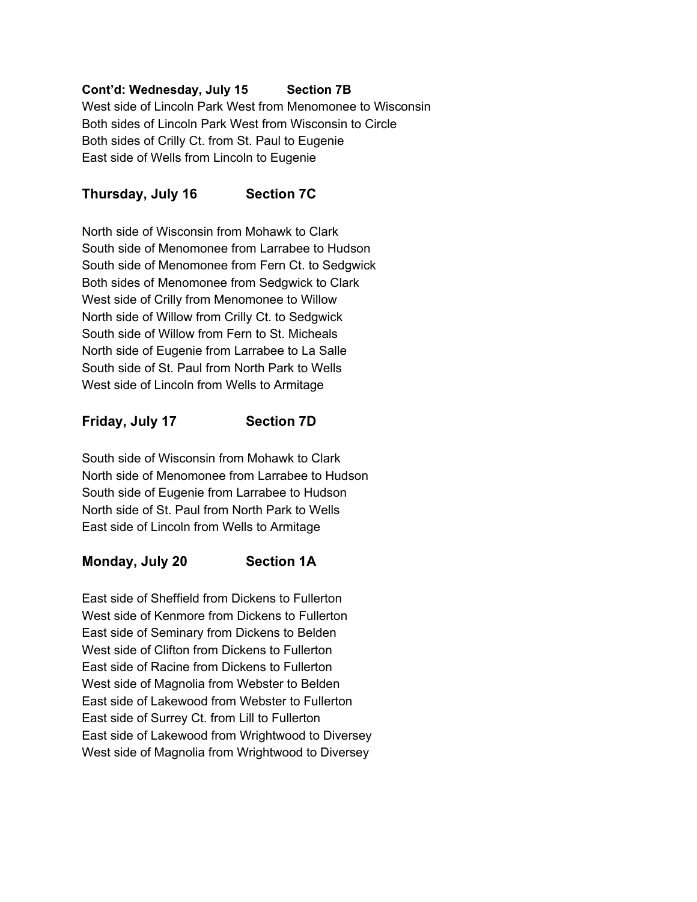#### **Cont'd: Wednesday, July 15 Section 7B**

West side of Lincoln Park West from Menomonee to Wisconsin Both sides of Lincoln Park West from Wisconsin to Circle Both sides of Crilly Ct. from St. Paul to Eugenie East side of Wells from Lincoln to Eugenie

#### **Thursday, July 16 Section 7C**

North side of Wisconsin from Mohawk to Clark South side of Menomonee from Larrabee to Hudson South side of Menomonee from Fern Ct. to Sedgwick Both sides of Menomonee from Sedgwick to Clark West side of Crilly from Menomonee to Willow North side of Willow from Crilly Ct. to Sedgwick South side of Willow from Fern to St. Micheals North side of Eugenie from Larrabee to La Salle South side of St. Paul from North Park to Wells West side of Lincoln from Wells to Armitage

#### **Friday, July 17 Section 7D**

South side of Wisconsin from Mohawk to Clark North side of Menomonee from Larrabee to Hudson South side of Eugenie from Larrabee to Hudson North side of St. Paul from North Park to Wells East side of Lincoln from Wells to Armitage

#### **Monday, July 20 Section 1A**

East side of Sheffield from Dickens to Fullerton West side of Kenmore from Dickens to Fullerton East side of Seminary from Dickens to Belden West side of Clifton from Dickens to Fullerton East side of Racine from Dickens to Fullerton West side of Magnolia from Webster to Belden East side of Lakewood from Webster to Fullerton East side of Surrey Ct. from Lill to Fullerton East side of Lakewood from Wrightwood to Diversey West side of Magnolia from Wrightwood to Diversey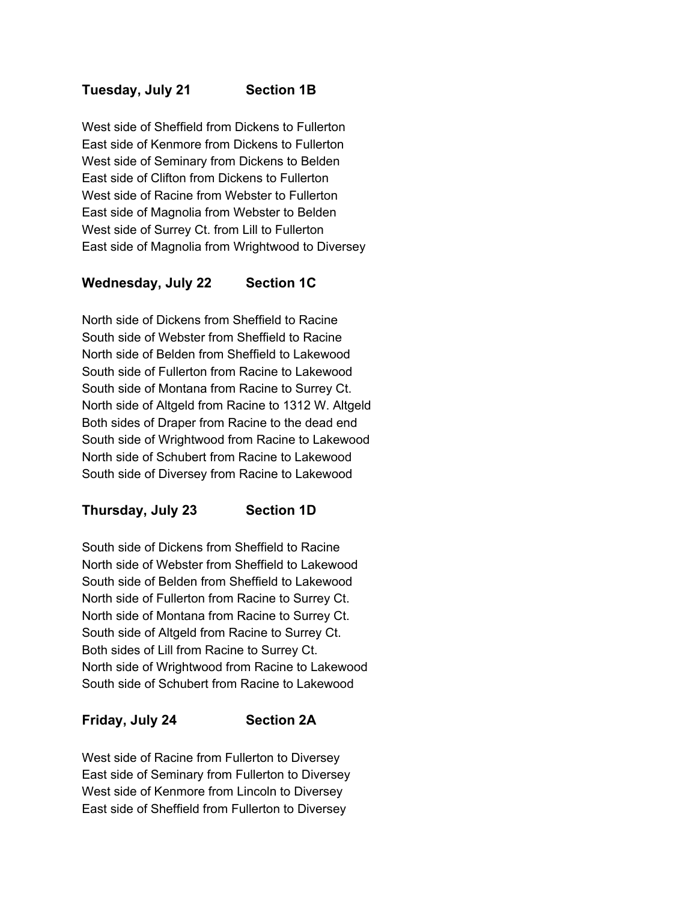#### **Tuesday, July 21 Section 1B**

West side of Sheffield from Dickens to Fullerton East side of Kenmore from Dickens to Fullerton West side of Seminary from Dickens to Belden East side of Clifton from Dickens to Fullerton West side of Racine from Webster to Fullerton East side of Magnolia from Webster to Belden West side of Surrey Ct. from Lill to Fullerton East side of Magnolia from Wrightwood to Diversey

#### **Wednesday, July 22 Section 1C**

North side of Dickens from Sheffield to Racine South side of Webster from Sheffield to Racine North side of Belden from Sheffield to Lakewood South side of Fullerton from Racine to Lakewood South side of Montana from Racine to Surrey Ct. North side of Altgeld from Racine to 1312 W. Altgeld Both sides of Draper from Racine to the dead end South side of Wrightwood from Racine to Lakewood North side of Schubert from Racine to Lakewood South side of Diversey from Racine to Lakewood

#### **Thursday, July 23 Section 1D**

South side of Dickens from Sheffield to Racine North side of Webster from Sheffield to Lakewood South side of Belden from Sheffield to Lakewood North side of Fullerton from Racine to Surrey Ct. North side of Montana from Racine to Surrey Ct. South side of Altgeld from Racine to Surrey Ct. Both sides of Lill from Racine to Surrey Ct. North side of Wrightwood from Racine to Lakewood South side of Schubert from Racine to Lakewood

#### **Friday, July 24 Section 2A**

West side of Racine from Fullerton to Diversey East side of Seminary from Fullerton to Diversey West side of Kenmore from Lincoln to Diversey East side of Sheffield from Fullerton to Diversey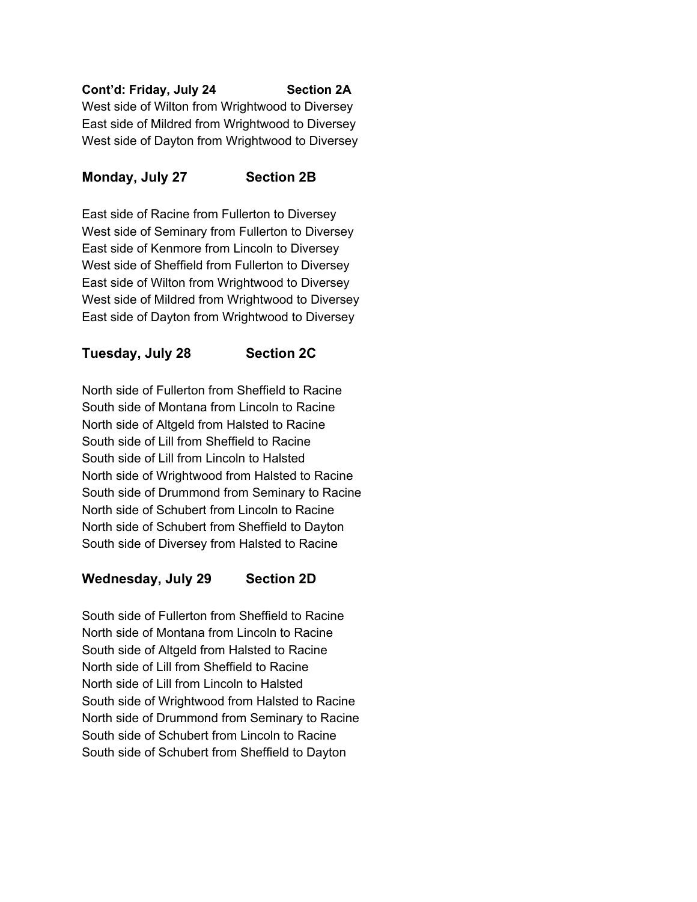#### **Cont'd: Friday, July 24 Section 2A**

West side of Wilton from Wrightwood to Diversey East side of Mildred from Wrightwood to Diversey West side of Dayton from Wrightwood to Diversey

#### **Monday, July 27 Section 2B**

East side of Racine from Fullerton to Diversey West side of Seminary from Fullerton to Diversey East side of Kenmore from Lincoln to Diversey West side of Sheffield from Fullerton to Diversey East side of Wilton from Wrightwood to Diversey West side of Mildred from Wrightwood to Diversey East side of Dayton from Wrightwood to Diversey

#### **Tuesday, July 28 Section 2C**

North side of Fullerton from Sheffield to Racine South side of Montana from Lincoln to Racine North side of Altgeld from Halsted to Racine South side of Lill from Sheffield to Racine South side of Lill from Lincoln to Halsted North side of Wrightwood from Halsted to Racine South side of Drummond from Seminary to Racine North side of Schubert from Lincoln to Racine North side of Schubert from Sheffield to Dayton South side of Diversey from Halsted to Racine

#### **Wednesday, July 29 Section 2D**

South side of Fullerton from Sheffield to Racine North side of Montana from Lincoln to Racine South side of Altgeld from Halsted to Racine North side of Lill from Sheffield to Racine North side of Lill from Lincoln to Halsted South side of Wrightwood from Halsted to Racine North side of Drummond from Seminary to Racine South side of Schubert from Lincoln to Racine South side of Schubert from Sheffield to Dayton